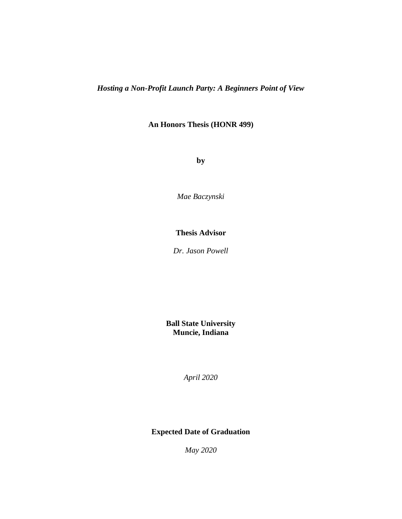*Hosting a Non-Profit Launch Party: A Beginners Point of View*

**An Honors Thesis (HONR 499)**

**by**

*Mae Baczynski*

# **Thesis Advisor**

*Dr. Jason Powell*

**Ball State University Muncie, Indiana**

*April 2020*

**Expected Date of Graduation**

*May 2020*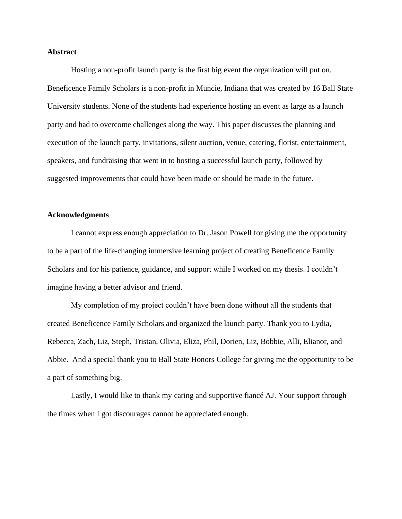## **Abstract**

Hosting a non-profit launch party is the first big event the organization will put on. Beneficence Family Scholars is a non-profit in Muncie, Indiana that was created by 16 Ball State University students. None of the students had experience hosting an event as large as a launch party and had to overcome challenges along the way. This paper discusses the planning and execution of the launch party, invitations, silent auction, venue, catering, florist, entertainment, speakers, and fundraising that went in to hosting a successful launch party, followed by suggested improvements that could have been made or should be made in the future.

### **Acknowledgments**

I cannot express enough appreciation to Dr. Jason Powell for giving me the opportunity to be a part of the life-changing immersive learning project of creating Beneficence Family Scholars and for his patience, guidance, and support while I worked on my thesis. I couldn't imagine having a better advisor and friend.

My completion of my project couldn't have been done without all the students that created Beneficence Family Scholars and organized the launch party. Thank you to Lydia, Rebecca, Zach, Liz, Steph, Tristan, Olivia, Eliza, Phil, Dorien, Liz, Bobbie, Alli, Elianor, and Abbie. And a special thank you to Ball State Honors College for giving me the opportunity to be a part of something big.

Lastly, I would like to thank my caring and supportive fiancé AJ. Your support through the times when I got discourages cannot be appreciated enough.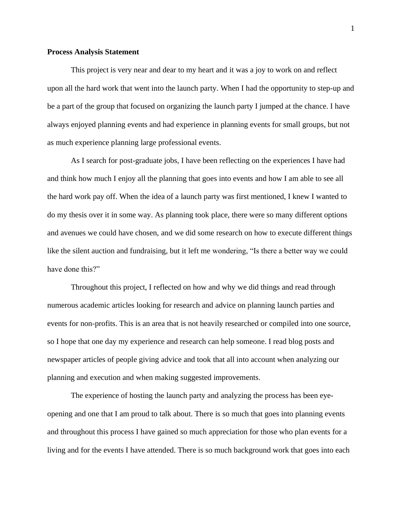#### **Process Analysis Statement**

This project is very near and dear to my heart and it was a joy to work on and reflect upon all the hard work that went into the launch party. When I had the opportunity to step-up and be a part of the group that focused on organizing the launch party I jumped at the chance. I have always enjoyed planning events and had experience in planning events for small groups, but not as much experience planning large professional events.

As I search for post-graduate jobs, I have been reflecting on the experiences I have had and think how much I enjoy all the planning that goes into events and how I am able to see all the hard work pay off. When the idea of a launch party was first mentioned, I knew I wanted to do my thesis over it in some way. As planning took place, there were so many different options and avenues we could have chosen, and we did some research on how to execute different things like the silent auction and fundraising, but it left me wondering, "Is there a better way we could have done this?"

Throughout this project, I reflected on how and why we did things and read through numerous academic articles looking for research and advice on planning launch parties and events for non-profits. This is an area that is not heavily researched or compiled into one source, so I hope that one day my experience and research can help someone. I read blog posts and newspaper articles of people giving advice and took that all into account when analyzing our planning and execution and when making suggested improvements.

The experience of hosting the launch party and analyzing the process has been eyeopening and one that I am proud to talk about. There is so much that goes into planning events and throughout this process I have gained so much appreciation for those who plan events for a living and for the events I have attended. There is so much background work that goes into each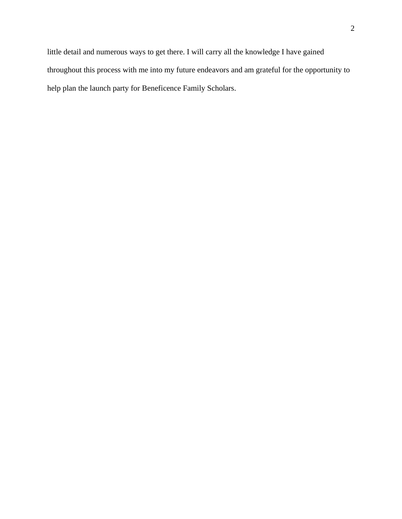little detail and numerous ways to get there. I will carry all the knowledge I have gained throughout this process with me into my future endeavors and am grateful for the opportunity to help plan the launch party for Beneficence Family Scholars.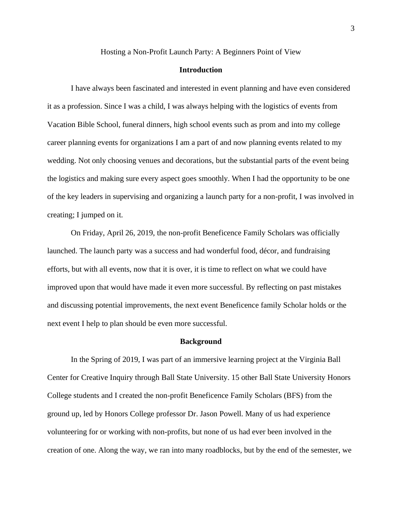Hosting a Non-Profit Launch Party: A Beginners Point of View

### **Introduction**

I have always been fascinated and interested in event planning and have even considered it as a profession. Since I was a child, I was always helping with the logistics of events from Vacation Bible School, funeral dinners, high school events such as prom and into my college career planning events for organizations I am a part of and now planning events related to my wedding. Not only choosing venues and decorations, but the substantial parts of the event being the logistics and making sure every aspect goes smoothly. When I had the opportunity to be one of the key leaders in supervising and organizing a launch party for a non-profit, I was involved in creating; I jumped on it.

On Friday, April 26, 2019, the non-profit Beneficence Family Scholars was officially launched. The launch party was a success and had wonderful food, décor, and fundraising efforts, but with all events, now that it is over, it is time to reflect on what we could have improved upon that would have made it even more successful. By reflecting on past mistakes and discussing potential improvements, the next event Beneficence family Scholar holds or the next event I help to plan should be even more successful.

#### **Background**

In the Spring of 2019, I was part of an immersive learning project at the Virginia Ball Center for Creative Inquiry through Ball State University. 15 other Ball State University Honors College students and I created the non-profit Beneficence Family Scholars (BFS) from the ground up, led by Honors College professor Dr. Jason Powell. Many of us had experience volunteering for or working with non-profits, but none of us had ever been involved in the creation of one. Along the way, we ran into many roadblocks, but by the end of the semester, we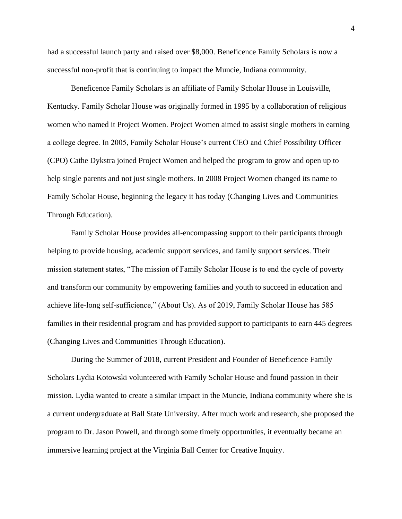had a successful launch party and raised over \$8,000. Beneficence Family Scholars is now a successful non-profit that is continuing to impact the Muncie, Indiana community.

Beneficence Family Scholars is an affiliate of Family Scholar House in Louisville, Kentucky. Family Scholar House was originally formed in 1995 by a collaboration of religious women who named it Project Women. Project Women aimed to assist single mothers in earning a college degree. In 2005, Family Scholar House's current CEO and Chief Possibility Officer (CPO) Cathe Dykstra joined Project Women and helped the program to grow and open up to help single parents and not just single mothers. In 2008 Project Women changed its name to Family Scholar House, beginning the legacy it has today (Changing Lives and Communities Through Education).

Family Scholar House provides all-encompassing support to their participants through helping to provide housing, academic support services, and family support services. Their mission statement states, "The mission of Family Scholar House is to end the cycle of poverty and transform our community by empowering families and youth to succeed in education and achieve life-long self-sufficience," (About Us). As of 2019, Family Scholar House has 585 families in their residential program and has provided support to participants to earn 445 degrees (Changing Lives and Communities Through Education).

During the Summer of 2018, current President and Founder of Beneficence Family Scholars Lydia Kotowski volunteered with Family Scholar House and found passion in their mission. Lydia wanted to create a similar impact in the Muncie, Indiana community where she is a current undergraduate at Ball State University. After much work and research, she proposed the program to Dr. Jason Powell, and through some timely opportunities, it eventually became an immersive learning project at the Virginia Ball Center for Creative Inquiry.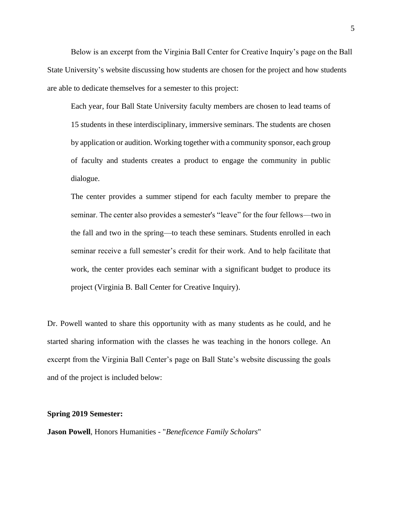Below is an excerpt from the Virginia Ball Center for Creative Inquiry's page on the Ball State University's website discussing how students are chosen for the project and how students are able to dedicate themselves for a semester to this project:

Each year, four Ball State University faculty members are chosen to lead teams of 15 students in these interdisciplinary, immersive seminars. The students are chosen by application or audition. Working together with a community sponsor, each group of faculty and students creates a product to engage the community in public dialogue.

The center provides a summer stipend for each faculty member to prepare the seminar. The center also provides a semester's "leave" for the four fellows—two in the fall and two in the spring—to teach these seminars. Students enrolled in each seminar receive a full semester's credit for their work. And to help facilitate that work, the center provides each seminar with a significant budget to produce its project (Virginia B. Ball Center for Creative Inquiry).

Dr. Powell wanted to share this opportunity with as many students as he could, and he started sharing information with the classes he was teaching in the honors college. An excerpt from the Virginia Ball Center's page on Ball State's website discussing the goals and of the project is included below:

#### **Spring 2019 Semester:**

**Jason Powell**, Honors Humanities - "*Beneficence Family Scholars*"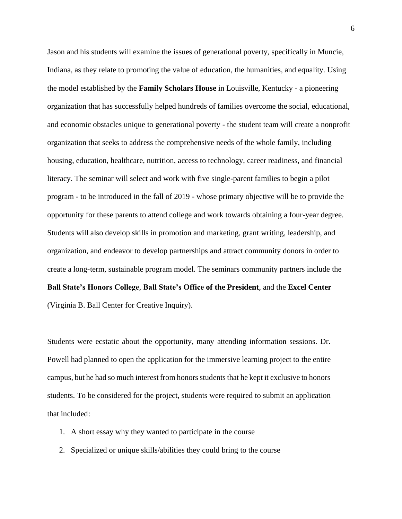Jason and his students will examine the issues of generational poverty, specifically in Muncie, Indiana, as they relate to promoting the value of education, the humanities, and equality. Using the model established by the **Family Scholars House** in Louisville, Kentucky - a pioneering organization that has successfully helped hundreds of families overcome the social, educational, and economic obstacles unique to generational poverty - the student team will create a nonprofit organization that seeks to address the comprehensive needs of the whole family, including housing, education, healthcare, nutrition, access to technology, career readiness, and financial literacy. The seminar will select and work with five single-parent families to begin a pilot program - to be introduced in the fall of 2019 - whose primary objective will be to provide the opportunity for these parents to attend college and work towards obtaining a four-year degree. Students will also develop skills in promotion and marketing, grant writing, leadership, and organization, and endeavor to develop partnerships and attract community donors in order to create a long-term, sustainable program model. The seminars community partners include the **Ball State's Honors College**, **Ball State's Office of the President**, and the **Excel Center** (Virginia B. Ball Center for Creative Inquiry).

Students were ecstatic about the opportunity, many attending information sessions. Dr. Powell had planned to open the application for the immersive learning project to the entire campus, but he had so much interest from honors students that he kept it exclusive to honors students. To be considered for the project, students were required to submit an application that included:

- 1. A short essay why they wanted to participate in the course
- 2. Specialized or unique skills/abilities they could bring to the course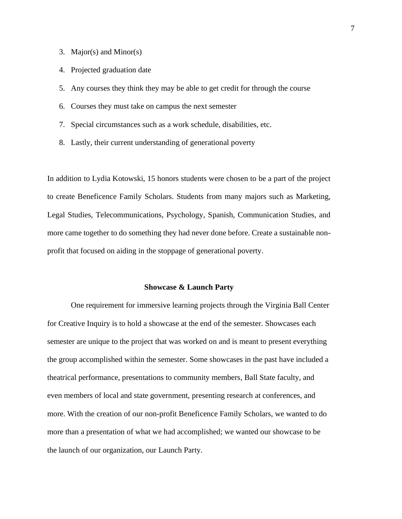- 3. Major(s) and Minor(s)
- 4. Projected graduation date
- 5. Any courses they think they may be able to get credit for through the course
- 6. Courses they must take on campus the next semester
- 7. Special circumstances such as a work schedule, disabilities, etc.
- 8. Lastly, their current understanding of generational poverty

In addition to Lydia Kotowski, 15 honors students were chosen to be a part of the project to create Beneficence Family Scholars. Students from many majors such as Marketing, Legal Studies, Telecommunications, Psychology, Spanish, Communication Studies, and more came together to do something they had never done before. Create a sustainable nonprofit that focused on aiding in the stoppage of generational poverty.

#### **Showcase & Launch Party**

One requirement for immersive learning projects through the Virginia Ball Center for Creative Inquiry is to hold a showcase at the end of the semester. Showcases each semester are unique to the project that was worked on and is meant to present everything the group accomplished within the semester. Some showcases in the past have included a theatrical performance, presentations to community members, Ball State faculty, and even members of local and state government, presenting research at conferences, and more. With the creation of our non-profit Beneficence Family Scholars, we wanted to do more than a presentation of what we had accomplished; we wanted our showcase to be the launch of our organization, our Launch Party.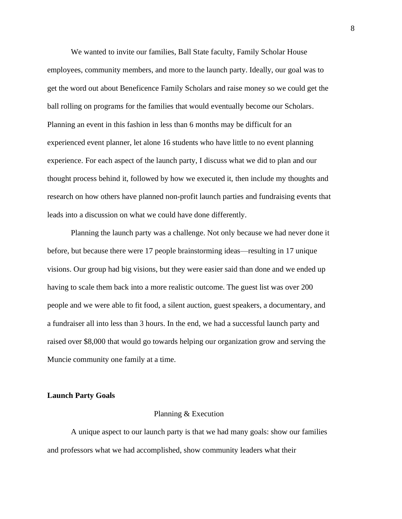We wanted to invite our families, Ball State faculty, Family Scholar House employees, community members, and more to the launch party. Ideally, our goal was to get the word out about Beneficence Family Scholars and raise money so we could get the ball rolling on programs for the families that would eventually become our Scholars. Planning an event in this fashion in less than 6 months may be difficult for an experienced event planner, let alone 16 students who have little to no event planning experience. For each aspect of the launch party, I discuss what we did to plan and our thought process behind it, followed by how we executed it, then include my thoughts and research on how others have planned non-profit launch parties and fundraising events that leads into a discussion on what we could have done differently.

Planning the launch party was a challenge. Not only because we had never done it before, but because there were 17 people brainstorming ideas—resulting in 17 unique visions. Our group had big visions, but they were easier said than done and we ended up having to scale them back into a more realistic outcome. The guest list was over 200 people and we were able to fit food, a silent auction, guest speakers, a documentary, and a fundraiser all into less than 3 hours. In the end, we had a successful launch party and raised over \$8,000 that would go towards helping our organization grow and serving the Muncie community one family at a time.

#### **Launch Party Goals**

#### Planning & Execution

A unique aspect to our launch party is that we had many goals: show our families and professors what we had accomplished, show community leaders what their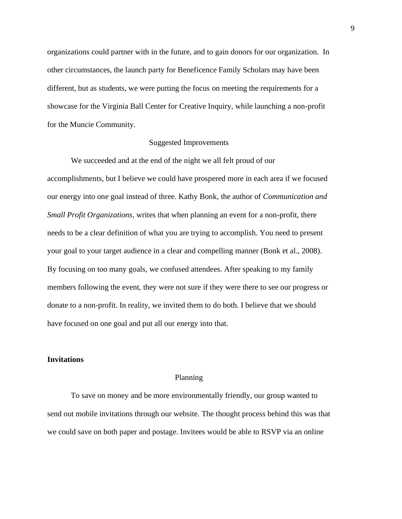organizations could partner with in the future, and to gain donors for our organization. In other circumstances, the launch party for Beneficence Family Scholars may have been different, but as students, we were putting the focus on meeting the requirements for a showcase for the Virginia Ball Center for Creative Inquiry, while launching a non-profit for the Muncie Community.

## Suggested Improvements

We succeeded and at the end of the night we all felt proud of our accomplishments, but I believe we could have prospered more in each area if we focused our energy into one goal instead of three. Kathy Bonk, the author of *Communication and Small Profit Organizations*, writes that when planning an event for a non-profit, there needs to be a clear definition of what you are trying to accomplish. You need to present your goal to your target audience in a clear and compelling manner (Bonk et al., 2008). By focusing on too many goals, we confused attendees. After speaking to my family members following the event, they were not sure if they were there to see our progress or donate to a non-profit. In reality, we invited them to do both. I believe that we should have focused on one goal and put all our energy into that.

## **Invitations**

## Planning

To save on money and be more environmentally friendly, our group wanted to send out mobile invitations through our website. The thought process behind this was that we could save on both paper and postage. Invitees would be able to RSVP via an online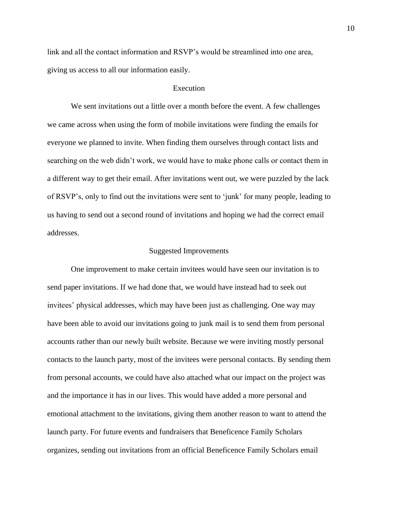link and all the contact information and RSVP's would be streamlined into one area, giving us access to all our information easily.

## Execution

We sent invitations out a little over a month before the event. A few challenges we came across when using the form of mobile invitations were finding the emails for everyone we planned to invite. When finding them ourselves through contact lists and searching on the web didn't work, we would have to make phone calls or contact them in a different way to get their email. After invitations went out, we were puzzled by the lack of RSVP's, only to find out the invitations were sent to 'junk' for many people, leading to us having to send out a second round of invitations and hoping we had the correct email addresses.

#### Suggested Improvements

One improvement to make certain invitees would have seen our invitation is to send paper invitations. If we had done that, we would have instead had to seek out invitees' physical addresses, which may have been just as challenging. One way may have been able to avoid our invitations going to junk mail is to send them from personal accounts rather than our newly built website. Because we were inviting mostly personal contacts to the launch party, most of the invitees were personal contacts. By sending them from personal accounts, we could have also attached what our impact on the project was and the importance it has in our lives. This would have added a more personal and emotional attachment to the invitations, giving them another reason to want to attend the launch party. For future events and fundraisers that Beneficence Family Scholars organizes, sending out invitations from an official Beneficence Family Scholars email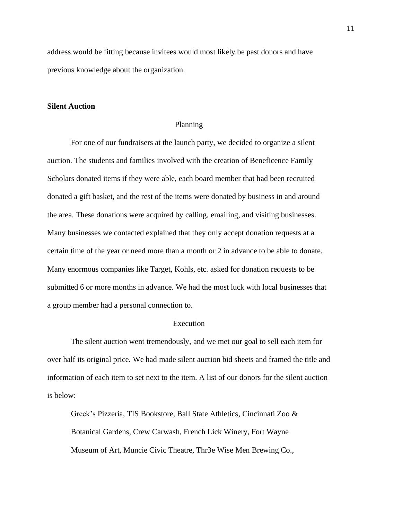address would be fitting because invitees would most likely be past donors and have previous knowledge about the organization.

### **Silent Auction**

### Planning

For one of our fundraisers at the launch party, we decided to organize a silent auction. The students and families involved with the creation of Beneficence Family Scholars donated items if they were able, each board member that had been recruited donated a gift basket, and the rest of the items were donated by business in and around the area. These donations were acquired by calling, emailing, and visiting businesses. Many businesses we contacted explained that they only accept donation requests at a certain time of the year or need more than a month or 2 in advance to be able to donate. Many enormous companies like Target, Kohls, etc. asked for donation requests to be submitted 6 or more months in advance. We had the most luck with local businesses that a group member had a personal connection to.

## Execution

The silent auction went tremendously, and we met our goal to sell each item for over half its original price. We had made silent auction bid sheets and framed the title and information of each item to set next to the item. A list of our donors for the silent auction is below:

Greek's Pizzeria, TIS Bookstore, Ball State Athletics, Cincinnati Zoo & Botanical Gardens, Crew Carwash, French Lick Winery, Fort Wayne Museum of Art, Muncie Civic Theatre, Thr3e Wise Men Brewing Co.,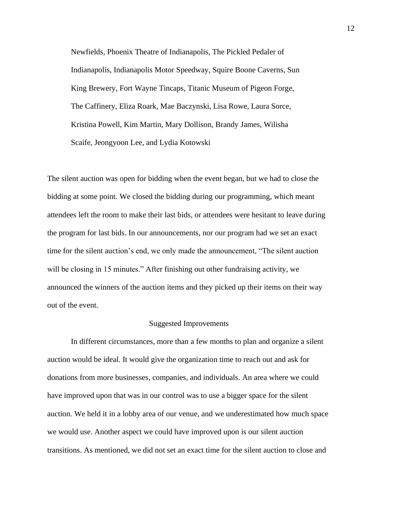Newfields, Phoenix Theatre of Indianapolis, The Pickled Pedaler of Indianapolis, Indianapolis Motor Speedway, Squire Boone Caverns, Sun King Brewery, Fort Wayne Tincaps, Titanic Museum of Pigeon Forge, The Caffinery, Eliza Roark, Mae Baczynski, Lisa Rowe, Laura Sorce, Kristina Powell, Kim Martin, Mary Dollison, Brandy James, Wilisha Scaife, Jeongyoon Lee, and Lydia Kotowski

The silent auction was open for bidding when the event began, but we had to close the bidding at some point. We closed the bidding during our programming, which meant attendees left the room to make their last bids, or attendees were hesitant to leave during the program for last bids. In our announcements, nor our program had we set an exact time for the silent auction's end, we only made the announcement, "The silent auction will be closing in 15 minutes." After finishing out other fundraising activity, we announced the winners of the auction items and they picked up their items on their way out of the event.

#### Suggested Improvements

In different circumstances, more than a few months to plan and organize a silent auction would be ideal. It would give the organization time to reach out and ask for donations from more businesses, companies, and individuals. An area where we could have improved upon that was in our control was to use a bigger space for the silent auction. We held it in a lobby area of our venue, and we underestimated how much space we would use. Another aspect we could have improved upon is our silent auction transitions. As mentioned, we did not set an exact time for the silent auction to close and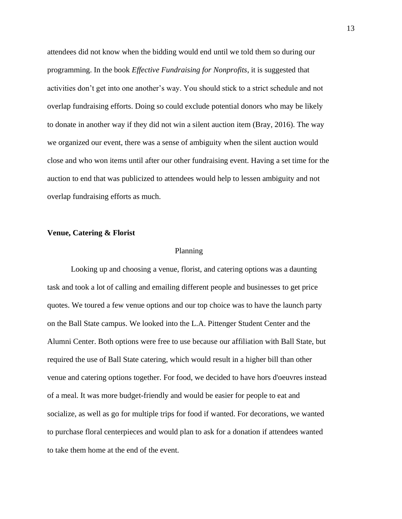attendees did not know when the bidding would end until we told them so during our programming. In the book *Effective Fundraising for Nonprofits*, it is suggested that activities don't get into one another's way. You should stick to a strict schedule and not overlap fundraising efforts. Doing so could exclude potential donors who may be likely to donate in another way if they did not win a silent auction item (Bray, 2016). The way we organized our event, there was a sense of ambiguity when the silent auction would close and who won items until after our other fundraising event. Having a set time for the auction to end that was publicized to attendees would help to lessen ambiguity and not overlap fundraising efforts as much.

### **Venue, Catering & Florist**

#### Planning

Looking up and choosing a venue, florist, and catering options was a daunting task and took a lot of calling and emailing different people and businesses to get price quotes. We toured a few venue options and our top choice was to have the launch party on the Ball State campus. We looked into the L.A. Pittenger Student Center and the Alumni Center. Both options were free to use because our affiliation with Ball State, but required the use of Ball State catering, which would result in a higher bill than other venue and catering options together. For food, we decided to have hors d'oeuvres instead of a meal. It was more budget-friendly and would be easier for people to eat and socialize, as well as go for multiple trips for food if wanted. For decorations, we wanted to purchase floral centerpieces and would plan to ask for a donation if attendees wanted to take them home at the end of the event.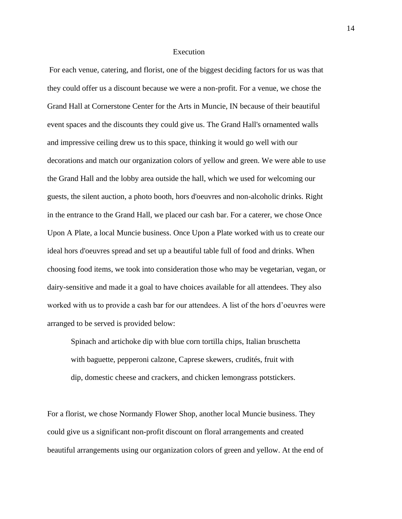#### Execution

For each venue, catering, and florist, one of the biggest deciding factors for us was that they could offer us a discount because we were a non-profit. For a venue, we chose the Grand Hall at Cornerstone Center for the Arts in Muncie, IN because of their beautiful event spaces and the discounts they could give us. The Grand Hall's ornamented walls and impressive ceiling drew us to this space, thinking it would go well with our decorations and match our organization colors of yellow and green. We were able to use the Grand Hall and the lobby area outside the hall, which we used for welcoming our guests, the silent auction, a photo booth, hors d'oeuvres and non-alcoholic drinks. Right in the entrance to the Grand Hall, we placed our cash bar. For a caterer, we chose Once Upon A Plate, a local Muncie business. Once Upon a Plate worked with us to create our ideal hors d'oeuvres spread and set up a beautiful table full of food and drinks. When choosing food items, we took into consideration those who may be vegetarian, vegan, or dairy-sensitive and made it a goal to have choices available for all attendees. They also worked with us to provide a cash bar for our attendees. A list of the hors d'oeuvres were arranged to be served is provided below:

Spinach and artichoke dip with blue corn tortilla chips, Italian bruschetta with baguette, pepperoni calzone, Caprese skewers, crudités, fruit with dip, domestic cheese and crackers, and chicken lemongrass potstickers.

For a florist, we chose Normandy Flower Shop, another local Muncie business. They could give us a significant non-profit discount on floral arrangements and created beautiful arrangements using our organization colors of green and yellow. At the end of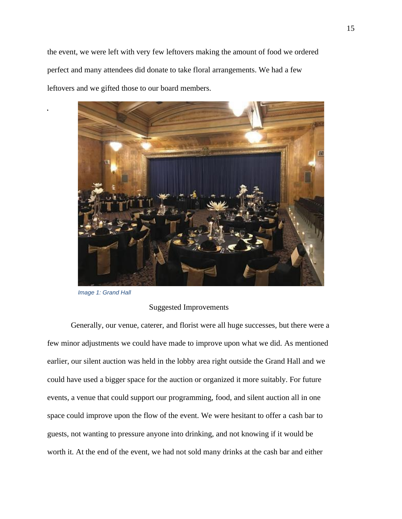the event, we were left with very few leftovers making the amount of food we ordered perfect and many attendees did donate to take floral arrangements. We had a few leftovers and we gifted those to our board members.



*Image 1: Grand Hall*

## Suggested Improvements

Generally, our venue, caterer, and florist were all huge successes, but there were a few minor adjustments we could have made to improve upon what we did. As mentioned earlier, our silent auction was held in the lobby area right outside the Grand Hall and we could have used a bigger space for the auction or organized it more suitably. For future events, a venue that could support our programming, food, and silent auction all in one space could improve upon the flow of the event. We were hesitant to offer a cash bar to guests, not wanting to pressure anyone into drinking, and not knowing if it would be worth it. At the end of the event, we had not sold many drinks at the cash bar and either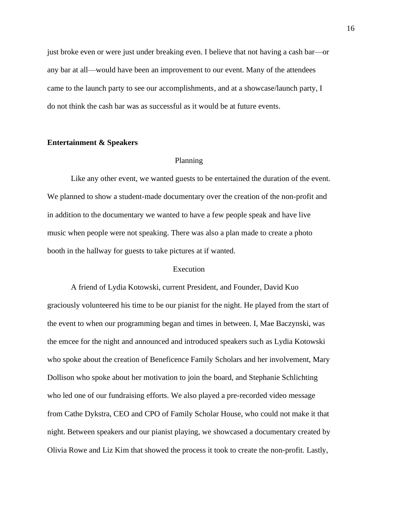just broke even or were just under breaking even. I believe that not having a cash bar—or any bar at all—would have been an improvement to our event. Many of the attendees came to the launch party to see our accomplishments, and at a showcase/launch party, I do not think the cash bar was as successful as it would be at future events.

### **Entertainment & Speakers**

#### Planning

Like any other event, we wanted guests to be entertained the duration of the event. We planned to show a student-made documentary over the creation of the non-profit and in addition to the documentary we wanted to have a few people speak and have live music when people were not speaking. There was also a plan made to create a photo booth in the hallway for guests to take pictures at if wanted.

### Execution

A friend of Lydia Kotowski, current President, and Founder, David Kuo graciously volunteered his time to be our pianist for the night. He played from the start of the event to when our programming began and times in between. I, Mae Baczynski, was the emcee for the night and announced and introduced speakers such as Lydia Kotowski who spoke about the creation of Beneficence Family Scholars and her involvement, Mary Dollison who spoke about her motivation to join the board, and Stephanie Schlichting who led one of our fundraising efforts. We also played a pre-recorded video message from Cathe Dykstra, CEO and CPO of Family Scholar House, who could not make it that night. Between speakers and our pianist playing, we showcased a documentary created by Olivia Rowe and Liz Kim that showed the process it took to create the non-profit. Lastly,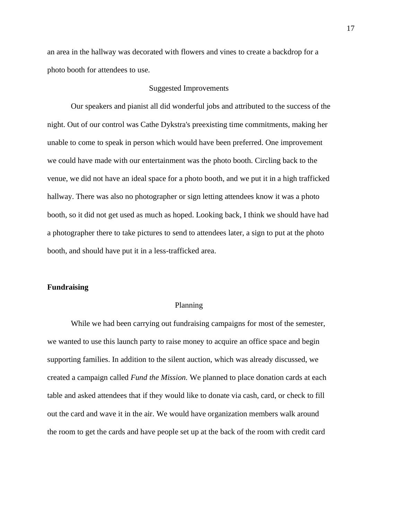an area in the hallway was decorated with flowers and vines to create a backdrop for a photo booth for attendees to use.

## Suggested Improvements

Our speakers and pianist all did wonderful jobs and attributed to the success of the night. Out of our control was Cathe Dykstra's preexisting time commitments, making her unable to come to speak in person which would have been preferred. One improvement we could have made with our entertainment was the photo booth. Circling back to the venue, we did not have an ideal space for a photo booth, and we put it in a high trafficked hallway. There was also no photographer or sign letting attendees know it was a photo booth, so it did not get used as much as hoped. Looking back, I think we should have had a photographer there to take pictures to send to attendees later, a sign to put at the photo booth, and should have put it in a less-trafficked area.

## **Fundraising**

#### Planning

While we had been carrying out fundraising campaigns for most of the semester, we wanted to use this launch party to raise money to acquire an office space and begin supporting families. In addition to the silent auction, which was already discussed, we created a campaign called *Fund the Mission.* We planned to place donation cards at each table and asked attendees that if they would like to donate via cash, card, or check to fill out the card and wave it in the air. We would have organization members walk around the room to get the cards and have people set up at the back of the room with credit card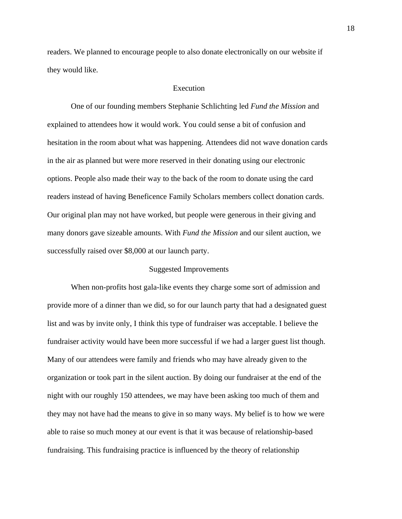readers. We planned to encourage people to also donate electronically on our website if they would like.

### Execution

One of our founding members Stephanie Schlichting led *Fund the Mission* and explained to attendees how it would work. You could sense a bit of confusion and hesitation in the room about what was happening. Attendees did not wave donation cards in the air as planned but were more reserved in their donating using our electronic options. People also made their way to the back of the room to donate using the card readers instead of having Beneficence Family Scholars members collect donation cards. Our original plan may not have worked, but people were generous in their giving and many donors gave sizeable amounts. With *Fund the Mission* and our silent auction, we successfully raised over \$8,000 at our launch party.

#### Suggested Improvements

When non-profits host gala-like events they charge some sort of admission and provide more of a dinner than we did, so for our launch party that had a designated guest list and was by invite only, I think this type of fundraiser was acceptable. I believe the fundraiser activity would have been more successful if we had a larger guest list though. Many of our attendees were family and friends who may have already given to the organization or took part in the silent auction. By doing our fundraiser at the end of the night with our roughly 150 attendees, we may have been asking too much of them and they may not have had the means to give in so many ways. My belief is to how we were able to raise so much money at our event is that it was because of relationship-based fundraising. This fundraising practice is influenced by the theory of relationship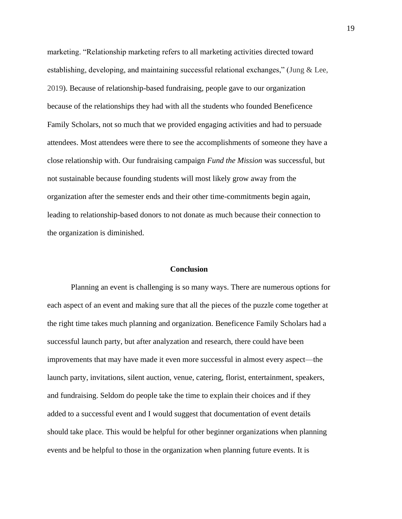marketing. "Relationship marketing refers to all marketing activities directed toward establishing, developing, and maintaining successful relational exchanges," (Jung & Lee, 2019). Because of relationship-based fundraising, people gave to our organization because of the relationships they had with all the students who founded Beneficence Family Scholars, not so much that we provided engaging activities and had to persuade attendees. Most attendees were there to see the accomplishments of someone they have a close relationship with. Our fundraising campaign *Fund the Mission* was successful, but not sustainable because founding students will most likely grow away from the organization after the semester ends and their other time-commitments begin again, leading to relationship-based donors to not donate as much because their connection to the organization is diminished.

### **Conclusion**

Planning an event is challenging is so many ways. There are numerous options for each aspect of an event and making sure that all the pieces of the puzzle come together at the right time takes much planning and organization. Beneficence Family Scholars had a successful launch party, but after analyzation and research, there could have been improvements that may have made it even more successful in almost every aspect—the launch party, invitations, silent auction, venue, catering, florist, entertainment, speakers, and fundraising. Seldom do people take the time to explain their choices and if they added to a successful event and I would suggest that documentation of event details should take place. This would be helpful for other beginner organizations when planning events and be helpful to those in the organization when planning future events. It is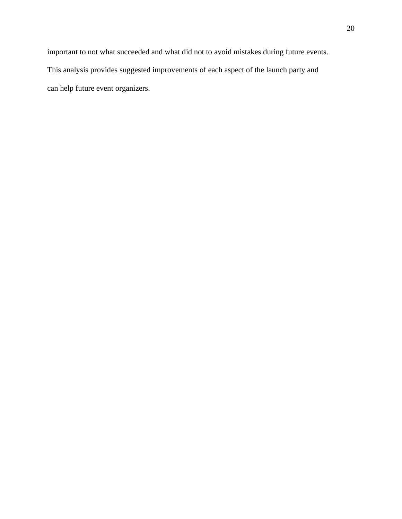important to not what succeeded and what did not to avoid mistakes during future events. This analysis provides suggested improvements of each aspect of the launch party and can help future event organizers.